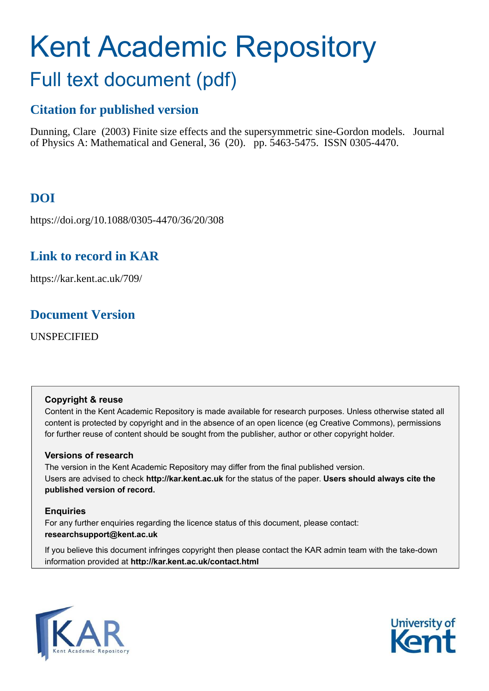# Kent Academic Repository Full text document (pdf)

# **Citation for published version**

Dunning, Clare (2003) Finite size effects and the supersymmetric sine-Gordon models. Journal of Physics A: Mathematical and General, 36 (20). pp. 5463-5475. ISSN 0305-4470.

# **DOI**

https://doi.org/10.1088/0305-4470/36/20/308

# **Link to record in KAR**

https://kar.kent.ac.uk/709/

# **Document Version**

UNSPECIFIED

# **Copyright & reuse**

Content in the Kent Academic Repository is made available for research purposes. Unless otherwise stated all content is protected by copyright and in the absence of an open licence (eg Creative Commons), permissions for further reuse of content should be sought from the publisher, author or other copyright holder.

# **Versions of research**

<span id="page-0-0"></span>The version in the Kent Academic Repository may differ from the final published version. Users are advised to check **http://kar.kent.ac.uk** for the status of the paper. **Users should always cite the published version of record.**

# **Enquiries**

For any further enquiries regarding the licence status of this document, please contact: **researchsupport@kent.ac.uk**

If you believe this document infringes copyright then please contact the KAR admin team with the take-down information provided at **http://kar.kent.ac.uk/contact.html**



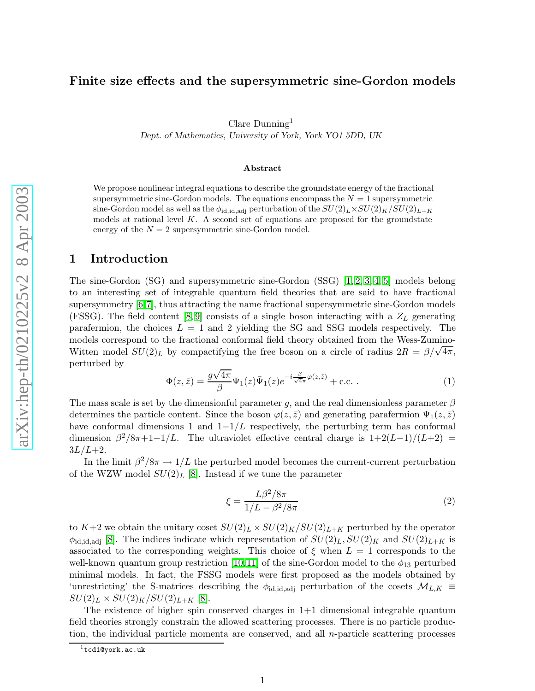# Finite size effects and the supersymmetric sine-Gordon models

Clare Dunning 1

<span id="page-1-0"></span>Dept. of Mathematics, University of York, York YO1 5DD, UK

#### Abstract

We propose nonlinear integral equations to describe the groundstate energy of the fractional  $supersymmetric sine-Gordon\ models.$  The equations encompass the  $N=1$  supersymmetric sine-Gordon model as well as the  $\phi_{\rm id, id, adj}$  perturbation of the  $SU(2)_L \times SU(2)_K/SU(2)_{L+K}$ models at rational level K. A second set of equations are proposed for the groundstate energy of the  $N = 2$  supersymmetric sine-Gordon model.

## 1 Introduction

The sine-Gordon (SG) and supersymmetric sine-Gordon (SSG) [\[1,](#page-10-0) [2,](#page-10-1) [3,](#page-10-2) [4,](#page-10-3) [5\]](#page-10-4) models belong to an interesting set of integrable quantum field theories that are said to have fractional supersymmetry [\[6,](#page-10-5)[7\]](#page-10-6), thus attracting the name fractional supersymmetric sine-Gordon models (FSSG). The field content [\[8,](#page-10-7)9] consists of a single boson interacting with a  $Z_L$  generating parafermion, the choices  $L = 1$  and 2 yielding the SG and SSG models respectively. The models correspond to the fractional conformal field theory obtained from the Wess-Zumino-Witten model  $SU(2)_L$  by compactifying the free boson on a circle of radius  $2R = \beta/\sqrt{4\pi}$ , perturbed by

$$
\Phi(z,\bar{z}) = \frac{g\sqrt{4\pi}}{\beta} \Psi_1(z)\bar{\Psi}_1(z)e^{-i\frac{\beta}{\sqrt{4\pi}}\varphi(z,\bar{z})} + \text{c.c.} \tag{1}
$$

<span id="page-1-1"></span>The mass scale is set by the dimensionful parameter g, and the real dimensionless parameter  $\beta$ determines the particle content. Since the boson  $\varphi(z,\bar{z})$  and generating parafermion  $\Psi_1(z,\bar{z})$ have conformal dimensions 1 and  $1-1/L$  respectively, the perturbing term has conformal dimension  $\beta^2/8\pi+1-1/L$ . The ultraviolet effective central charge is  $1+2(L-1)/(L+2)$  $3L/L+2$ .

In the limit  $\beta^2/8\pi \to 1/L$  the perturbed model becomes the current-current perturbation of the WZW model  $SU(2)_L$  [\[8\]](#page-10-7). Instead if we tune the parameter

$$
\xi = \frac{L\beta^2/8\pi}{1/L - \beta^2/8\pi} \tag{2}
$$

to  $K+2$  we obtain the unitary coset  $SU(2)_L \times SU(2)_K/SU(2)_{L+K}$  perturbed by the operator  $\phi_{\text{id},\text{id},\text{adj}}$  [\[8\]](#page-10-7). The indices indicate which representation of  $SU(2)_L, SU(2)_K$  and  $SU(2)_{L+K}$  is associated to the corresponding weights. This choice of  $\xi$  when  $L = 1$  corresponds to the well-known quantum group restriction  $[10, 11]$  $[10, 11]$  of the sine-Gordon model to the  $\phi_{13}$  perturbed minimal models. In fact, the FSSG models were first proposed as the models obtained by 'unrestricting' the S-matrices describing the  $\phi_{\text{id},\text{id},\text{adj}}$  perturbation of the cosets  $\mathcal{M}_{L,K}$  $SU(2)_L \times SU(2)_K/SU(2)_{L+K}$  [\[8\]](#page-10-7).

The existence of higher spin conserved charges in  $1+1$  dimensional integrable quantum field theories strongly constrain the allowed scattering processes. There is no particle production, the individual particle momenta are conserved, and all n-particle scattering processes

 $^{\rm 1}$ tcd1@york.ac.uk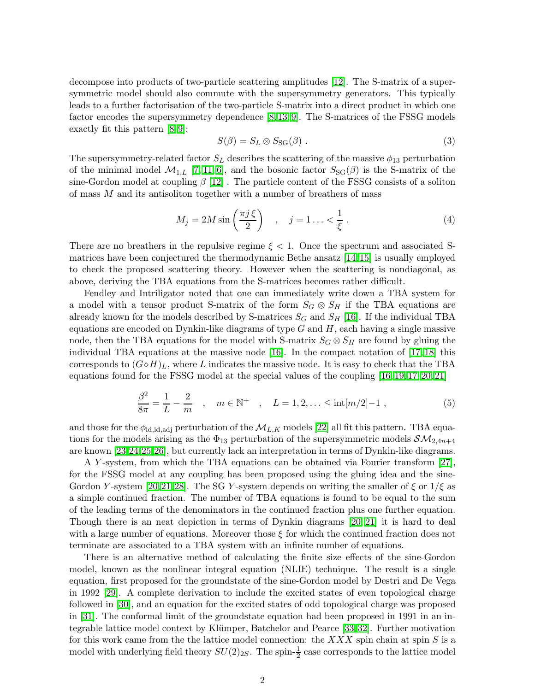decompose into products of two-particle scattering amplitudes [\[12\]](#page-11-0). The S-matrix of a supersymmetric model should also commute with the supersymmetry generators. This typically leads to a further factorisation of the two-particle S-matrix into a direct product in which one factor encodes the supersymmetry dependence [\[8,](#page-10-7) [13,](#page-11-1) [9\]](#page-10-8). The S-matrices of the FSSG models exactly fit this pattern [\[8,](#page-10-7) [9\]](#page-10-8):

$$
S(\beta) = S_L \otimes S_{\text{SG}}(\beta) \tag{3}
$$

The supersymmetry-related factor  $S_L$  describes the scattering of the massive  $\phi_{13}$  perturbation of the minimal model  $\mathcal{M}_{1,L}$  [\[7,](#page-10-6) [11,](#page-10-10) [6\]](#page-10-5), and the bosonic factor  $S_{\rm SG}(\beta)$  is the S-matrix of the sine-Gordon model at coupling  $\beta$  [\[12\]](#page-11-0). The particle content of the FSSG consists of a soliton of mass M and its antisoliton together with a number of breathers of mass

$$
M_j = 2M \sin\left(\frac{\pi j \,\xi}{2}\right) \quad , \quad j = 1 \ldots < \frac{1}{\xi} \; . \tag{4}
$$

There are no breathers in the repulsive regime  $\xi < 1$ . Once the spectrum and associated Smatrices have been conjectured the thermodynamic Bethe ansatz [\[14,](#page-11-2) [15\]](#page-11-3) is usually employed to check the proposed scattering theory. However when the scattering is nondiagonal, as above, deriving the TBA equations from the S-matrices becomes rather difficult.

Fendley and Intriligator noted that one can immediately write down a TBA system for a model with a tensor product S-matrix of the form  $S_G \otimes S_H$  if the TBA equations are already known for the models described by S-matrices  $S_G$  and  $S_H$  [\[16\]](#page-11-4). If the individual TBA equations are encoded on Dynkin-like diagrams of type  $G$  and  $H$ , each having a single massive node, then the TBA equations for the model with S-matrix  $S_G \otimes S_H$  are found by gluing the individual TBA equations at the massive node [\[16\]](#page-11-4). In the compact notation of [\[17,](#page-11-5) [18\]](#page-11-6) this corresponds to  $(G \diamond H)_L$ , where L indicates the massive node. It is easy to check that the TBA equations found for the FSSG model at the special values of the coupling [\[16,](#page-11-4) [19,](#page-11-7) [17,](#page-11-5) [20,](#page-11-8) [21\]](#page-11-9)

<span id="page-2-0"></span>
$$
\frac{\beta^2}{8\pi} = \frac{1}{L} - \frac{2}{m} \quad , \quad m \in \mathbb{N}^+ \quad , \quad L = 1, 2, \dots \le \text{int}[m/2] - 1 \tag{5}
$$

and those for the  $\phi_{\text{id},\text{id},\text{adj}}$  perturbation of the  $\mathcal{M}_{L,K}$  models [\[22\]](#page-11-10) all fit this pattern. TBA equations for the models arising as the  $\Phi_{13}$  perturbation of the supersymmetric models  $\mathcal{SM}_{2,4n+4}$ are known [\[23,](#page-11-11)[24,](#page-11-12)[25,](#page-11-13)[26\]](#page-11-14), but currently lack an interpretation in terms of Dynkin-like diagrams.

A Y -system, from which the TBA equations can be obtained via Fourier transform [\[27\]](#page-11-15), for the FSSG model at any coupling has been proposed using the gluing idea and the sine-Gordon Y-system [\[20,](#page-11-8) [21,](#page-11-9) [28\]](#page-11-16). The SG Y-system depends on writing the smaller of  $\xi$  or  $1/\xi$  as a simple continued fraction. The number of TBA equations is found to be equal to the sum of the leading terms of the denominators in the continued fraction plus one further equation. Though there is an neat depiction in terms of Dynkin diagrams [\[20,](#page-11-8) [21\]](#page-11-9) it is hard to deal with a large number of equations. Moreover those  $\xi$  for which the continued fraction does not terminate are associated to a TBA system with an infinite number of equations.

There is an alternative method of calculating the finite size effects of the sine-Gordon model, known as the nonlinear integral equation (NLIE) technique. The result is a single equation, first proposed for the groundstate of the sine-Gordon model by Destri and De Vega in 1992 [\[29\]](#page-11-17). A complete derivation to include the excited states of even topological charge followed in [\[30\]](#page-11-18), and an equation for the excited states of odd topological charge was proposed in [\[31\]](#page-11-19). The conformal limit of the groundstate equation had been proposed in 1991 in an in-tegrable lattice model context by Klümper, Batchelor and Pearce [\[33,](#page-12-0)[32\]](#page-12-1). Further motivation for this work came from the the lattice model connection: the  $XXX$  spin chain at spin S is a model with underlying field theory  $SU(2)_{2S}$ . The spin- $\frac{1}{2}$  case corresponds to the lattice model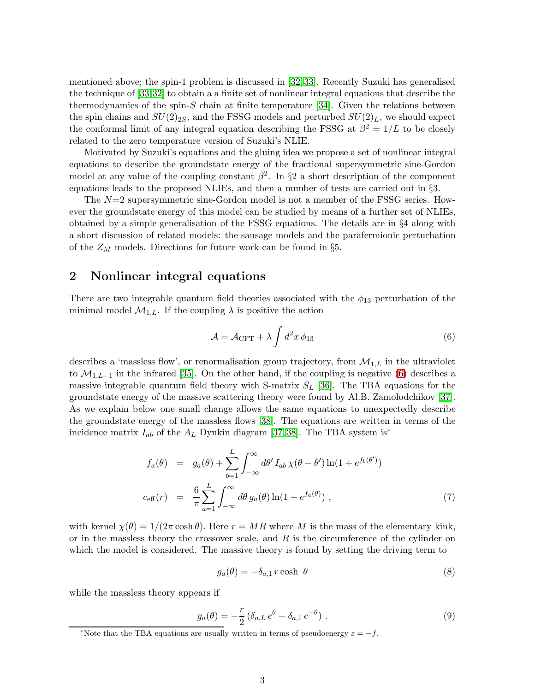mentioned above; the spin-1 problem is discussed in [\[32,](#page-12-1) [33\]](#page-12-0). Recently Suzuki has generalised the technique of [\[33,](#page-12-0)[32\]](#page-12-1) to obtain a a finite set of nonlinear integral equations that describe the thermodynamics of the spin-S chain at finite temperature [\[34\]](#page-12-2). Given the relations between the spin chains and  $SU(2)_{2S}$ , and the FSSG models and perturbed  $SU(2)_L$ , we should expect the conformal limit of any integral equation describing the FSSG at  $\beta^2 = 1/L$  to be closely related to the zero temperature version of Suzuki's NLIE.

<span id="page-3-0"></span>Motivated by Suzuki's equations and the gluing idea we propose a set of nonlinear integral equations to describe the groundstate energy of the fractional supersymmetric sine-Gordon model at any value of the coupling constant  $\beta^2$ . In §2 a short description of the component equations leads to the proposed NLIEs, and then a number of tests are carried out in §3.

The N=2 supersymmetric sine-Gordon model is not a member of the FSSG series. However the groundstate energy of this model can be studied by means of a further set of NLIEs, obtained by a simple generalisation of the FSSG equations. The details are in §4 along with a short discussion of related models: the sausage models and the parafermionic perturbation of the  $Z_M$  models. Directions for future work can be found in §5.

#### 2 Nonlinear integral equations

There are two integrable quantum field theories associated with the  $\phi_{13}$  perturbation of the minimal model  $\mathcal{M}_{1,L}$ . If the coupling  $\lambda$  is positive the action

$$
\mathcal{A} = \mathcal{A}_{\text{CFT}} + \lambda \int d^2x \, \phi_{13} \tag{6}
$$

describes a 'massless flow', or renormalisation group trajectory, from  $\mathcal{M}_{1,L}$  in the ultraviolet to  $\mathcal{M}_{1,L-1}$  in the infrared [\[35\]](#page-12-3). On the other hand, if the coupling is negative [\(6\)](#page-2-0) describes a massive integrable quantum field theory with S-matrix  $S_L$  [\[36\]](#page-12-4). The TBA equations for the groundstate energy of the massive scattering theory were found by Al.B. Zamolodchikov [\[37\]](#page-12-5). As we explain below one small change allows the same equations to unexpectedly describe the groundstate energy of the massless flows [\[38\]](#page-12-6). The equations are written in terms of the incidence matrix  $I_{ab}$  of the  $A_L$  Dynkin diagram [\[37,](#page-12-5) [38\]](#page-12-6). The TBA system is<sup>\*</sup>

$$
f_a(\theta) = g_a(\theta) + \sum_{b=1}^{L} \int_{-\infty}^{\infty} d\theta' I_{ab} \chi(\theta - \theta') \ln(1 + e^{f_b(\theta')})
$$
  

$$
c_{\text{eff}}(r) = \frac{6}{\pi} \sum_{a=1}^{L} \int_{-\infty}^{\infty} d\theta g_a(\theta) \ln(1 + e^{f_a(\theta)}) , \qquad (7)
$$

with kernel  $\chi(\theta) = 1/(2\pi \cosh \theta)$ . Here  $r = MR$  where M is the mass of the elementary kink, or in the massless theory the crossover scale, and  $R$  is the circumference of the cylinder on which the model is considered. The massive theory is found by setting the driving term to

$$
g_a(\theta) = -\delta_{a,1} r \cosh \theta \tag{8}
$$

<span id="page-3-1"></span>while the massless theory appears if

$$
g_a(\theta) = -\frac{r}{2} (\delta_{a,L} e^{\theta} + \delta_{a,1} e^{-\theta}).
$$
\n(9)

<sup>\*</sup>Note that the TBA equations are usually written in terms of pseudoenergy  $\varepsilon = -f$ .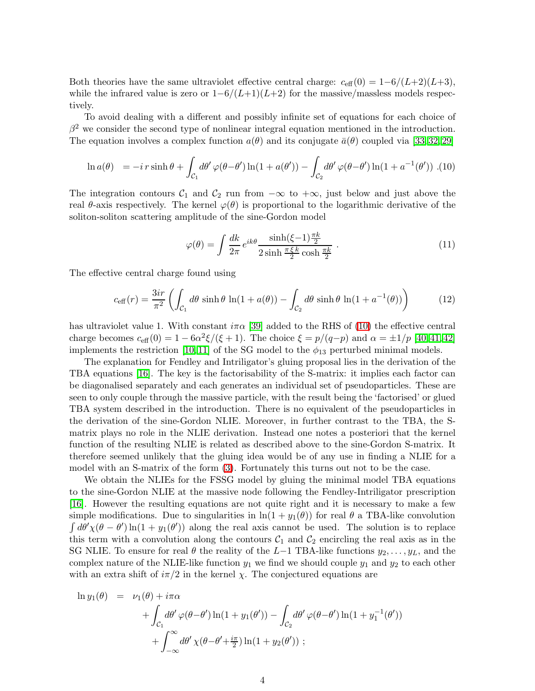Both theories have the same ultraviolet effective central charge:  $c_{\text{eff}}(0) = 1-6/(L+2)(L+3)$ , while the infrared value is zero or  $1-6/(L+1)(L+2)$  for the massive/massless models respectively.

To avoid dealing with a different and possibly infinite set of equations for each choice of  $\beta^2$  we consider the second type of nonlinear integral equation mentioned in the introduction. The equation involves a complex function  $a(\theta)$  and its conjugate  $\bar{a}(\theta)$  coupled via [\[33,](#page-12-0) [32,](#page-12-1) [29\]](#page-11-17)

<span id="page-4-0"></span>
$$
\ln a(\theta) = -ir \sinh \theta + \int_{\mathcal{C}_1} d\theta' \varphi(\theta - \theta') \ln(1 + a(\theta')) - \int_{\mathcal{C}_2} d\theta' \varphi(\theta - \theta') \ln(1 + a^{-1}(\theta')) \tag{10}
$$

The integration contours  $C_1$  and  $C_2$  run from  $-\infty$  to  $+\infty$ , just below and just above the real  $\theta$ -axis respectively. The kernel  $\varphi(\theta)$  is proportional to the logarithmic derivative of the soliton-soliton scattering amplitude of the sine-Gordon model

$$
\varphi(\theta) = \int \frac{dk}{2\pi} e^{ik\theta} \frac{\sinh(\xi - 1)\frac{\pi k}{2}}{2\sinh\frac{\pi \xi k}{2}\cosh\frac{\pi k}{2}} \,. \tag{11}
$$

<span id="page-4-1"></span>The effective central charge found using

$$
c_{\text{eff}}(r) = \frac{3ir}{\pi^2} \left( \int_{\mathcal{C}_1} d\theta \sinh\theta \, \ln(1 + a(\theta)) - \int_{\mathcal{C}_2} d\theta \sinh\theta \, \ln(1 + a^{-1}(\theta)) \right) \tag{12}
$$

has ultraviolet value 1. With constant  $i\pi\alpha$  [\[39\]](#page-12-7) added to the RHS of [\(10\)](#page-3-0) the effective central charge becomes  $c_{\text{eff}}(0) = 1 - 6\alpha^2 \xi/(\xi + 1)$ . The choice  $\xi = p/(q-p)$  and  $\alpha = \pm 1/p$  [\[40,](#page-12-8)41,42] implements the restriction [\[10,](#page-10-9) [11\]](#page-10-10) of the SG model to the  $\phi_{13}$  perturbed minimal models.

The explanation for Fendley and Intriligator's gluing proposal lies in the derivation of the TBA equations [\[16\]](#page-11-4). The key is the factorisability of the S-matrix: it implies each factor can be diagonalised separately and each generates an individual set of pseudoparticles. These are seen to only couple through the massive particle, with the result being the 'factorised' or glued TBA system described in the introduction. There is no equivalent of the pseudoparticles in the derivation of the sine-Gordon NLIE. Moreover, in further contrast to the TBA, the Smatrix plays no role in the NLIE derivation. Instead one notes a posteriori that the kernel function of the resulting NLIE is related as described above to the sine-Gordon S-matrix. It therefore seemed unlikely that the gluing idea would be of any use in finding a NLIE for a model with an S-matrix of the form [\(3\)](#page-1-0). Fortunately this turns out not to be the case.

<span id="page-4-3"></span><span id="page-4-2"></span>We obtain the NLIEs for the FSSG model by gluing the minimal model TBA equations to the sine-Gordon NLIE at the massive node following the Fendley-Intriligator prescription [\[16\]](#page-11-4). However the resulting equations are not quite right and it is necessary to make a few simple modifications. Due to singularities in  $\ln(1 + y_1(\theta))$  for real  $\theta$  a TBA-like convolution  $\int d\theta' \chi(\theta - \theta') \ln(1 + y_1(\theta'))$  along the real axis cannot be used. The solution is to replace this term with a convolution along the contours  $C_1$  and  $C_2$  encircling the real axis as in the SG NLIE. To ensure for real  $\theta$  the reality of the L−1 TBA-like functions  $y_2, \ldots, y_L$ , and the complex nature of the NLIE-like function  $y_1$  we find we should couple  $y_1$  and  $y_2$  to each other with an extra shift of  $i\pi/2$  in the kernel  $\chi$ . The conjectured equations are

$$
\ln y_1(\theta) = \nu_1(\theta) + i\pi\alpha \n+ \int_{\mathcal{C}_1} d\theta' \varphi(\theta - \theta') \ln(1 + y_1(\theta')) - \int_{\mathcal{C}_2} d\theta' \varphi(\theta - \theta') \ln(1 + y_1^{-1}(\theta')) \n+ \int_{-\infty}^{\infty} d\theta' \chi(\theta - \theta' + \frac{i\pi}{2}) \ln(1 + y_2(\theta')) ;
$$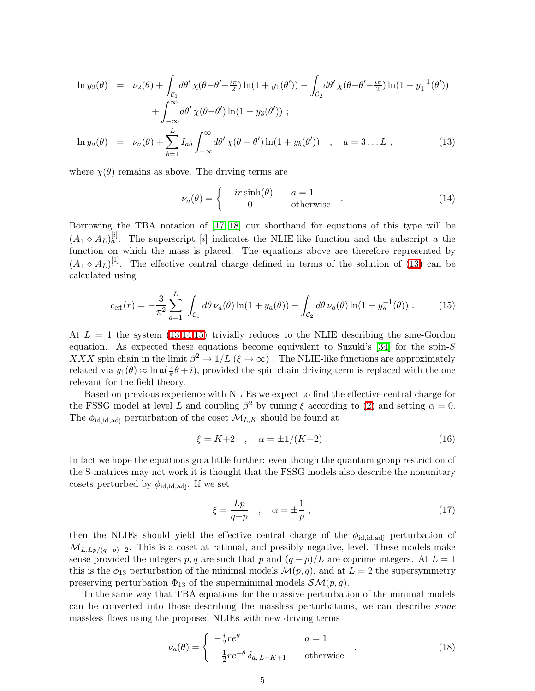$$
\ln y_2(\theta) = \nu_2(\theta) + \int_{\mathcal{C}_1} d\theta' \chi(\theta - \theta' - \frac{i\pi}{2}) \ln(1 + y_1(\theta')) - \int_{\mathcal{C}_2} d\theta' \chi(\theta - \theta' - \frac{i\pi}{2}) \ln(1 + y_1^{-1}(\theta'))
$$

$$
+ \int_{-\infty}^{\infty} d\theta' \chi(\theta - \theta') \ln(1 + y_3(\theta')) ;
$$

$$
\ln y_a(\theta) = \nu_a(\theta) + \sum_{b=1}^{L} I_{ab} \int_{-\infty}^{\infty} d\theta' \chi(\theta - \theta') \ln(1 + y_b(\theta')) , \quad a = 3...L , \quad (13)
$$

where  $\chi(\theta)$  remains as above. The driving terms are

$$
\nu_a(\theta) = \begin{cases}\n-ir\sinh(\theta) & a = 1 \\
0 & \text{otherwise}\n\end{cases} \tag{14}
$$

<span id="page-5-0"></span>Borrowing the TBA notation of [\[17,](#page-11-5) [18\]](#page-11-6) our shorthand for equations of this type will be  $(A_1 \diamond A_L)^{[i]}_a$ . The superscript [i] indicates the NLIE-like function and the subscript a the function on which the mass is placed. The equations above are therefore represented by  $(A_1 \diamond A_L)^{[1]}_1$  $1<sup>[1]</sup>$ . The effective central charge defined in terms of the solution of [\(13\)](#page-3-1) can be calculated using

$$
c_{\text{eff}}(r) = -\frac{3}{\pi^2} \sum_{a=1}^{L} \int_{\mathcal{C}_1} d\theta \, \nu_a(\theta) \ln(1 + y_a(\theta)) - \int_{\mathcal{C}_2} d\theta \, \nu_a(\theta) \ln(1 + y_a^{-1}(\theta)) \,. \tag{15}
$$

At  $L = 1$  the system  $(13,14,15)$  $(13,14,15)$  $(13,14,15)$  trivially reduces to the NLIE describing the sine-Gordon equation. As expected these equations become equivalent to Suzuki's  $[34]$  for the spin-S XXX spin chain in the limit  $\beta^2 \to 1/L$  ( $\xi \to \infty$ ). The NLIE-like functions are approximately related via  $y_1(\theta) \approx \ln \mathfrak{a}(\frac{2}{\pi})$  $\frac{2}{\pi}\theta + i$ , provided the spin chain driving term is replaced with the one relevant for the field theory.

Based on previous experience with NLIEs we expect to find the effective central charge for the FSSG model at level L and coupling  $\beta^2$  by tuning  $\xi$  according to [\(2\)](#page-0-0) and setting  $\alpha = 0$ . The  $\phi_{\text{id},\text{id},\text{adj}}$  perturbation of the coset  $\mathcal{M}_{L,K}$  should be found at

$$
\xi = K + 2
$$
,  $\alpha = \pm 1/(K + 2)$ . (16)

In fact we hope the equations go a little further: even though the quantum group restriction of the S-matrices may not work it is thought that the FSSG models also describe the nonunitary cosets perturbed by  $\phi_{\text{id},\text{id},\text{adj}}$ . If we set

$$
\xi = \frac{Lp}{q - p} \quad , \quad \alpha = \pm \frac{1}{p} \tag{17}
$$

then the NLIEs should yield the effective central charge of the  $\phi_{\text{id},\text{id},\text{adj}}$  perturbation of  $\mathcal{M}_{L,Lp/(q-p)-2}$ . This is a coset at rational, and possibly negative, level. These models make sense provided the integers  $p, q$  are such that p and  $(q - p)/L$  are coprime integers. At  $L = 1$ this is the  $\phi_{13}$  perturbation of the minimal models  $\mathcal{M}(p,q)$ , and at  $L=2$  the supersymmetry preserving perturbation  $\Phi_{13}$  of the superminimal models  $\mathcal{SM}(p,q)$ .

<span id="page-5-1"></span>In the same way that TBA equations for the massive perturbation of the minimal models can be converted into those describing the massless perturbations, we can describe some massless flows using the proposed NLIEs with new driving terms

$$
\nu_a(\theta) = \begin{cases}\n-\frac{i}{2}re^{\theta} & a = 1 \\
-\frac{1}{2}re^{-\theta}\delta_{a,L-K+1} & \text{otherwise}\n\end{cases}
$$
\n(18)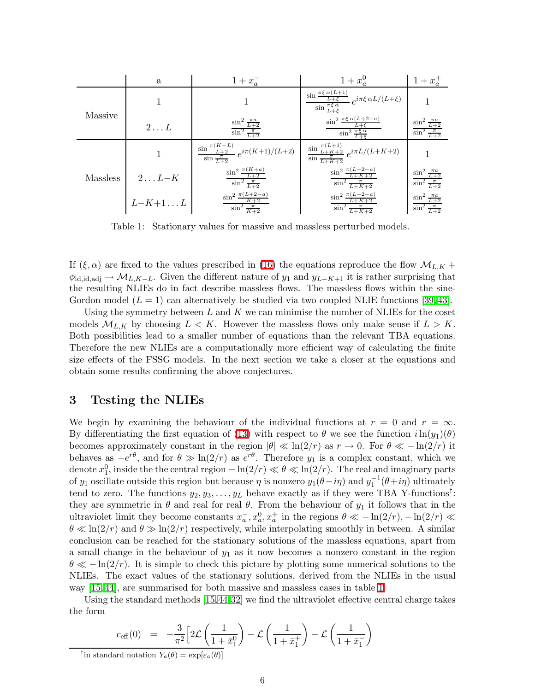|                 | a              | $1 + x_a^-$                                                                    | $1+x^0$                                                                                                           | $1 + x_a^+$                                               |
|-----------------|----------------|--------------------------------------------------------------------------------|-------------------------------------------------------------------------------------------------------------------|-----------------------------------------------------------|
|                 |                |                                                                                | $\frac{\sin \frac{\pi \xi \alpha (L+1)}{L+\xi}}{\sin \frac{\pi \xi \alpha}{L+\xi}} e^{i\pi \xi \alpha L/(L+\xi)}$ |                                                           |
| Massive         | $2 \ldots L$   | $\frac{\sin^2 \frac{\pi a}{L+2}}{\sin^2 \frac{\pi}{L+2}}$                      | $\frac{\sin^2 \frac{\pi \xi \alpha (L+2-a)}{L+\xi}}{\sin^2 \frac{\pi \xi \alpha}{L+\xi}}$                         | $\frac{\sin^2 \frac{\pi a}{L+2}}{\sin^2 \frac{\pi}{L+2}}$ |
| <b>Massless</b> |                | $\frac{\sin \frac{\pi (K-L)}{L+2}}{\sin \frac{\pi}{L+2}} e^{i\pi (K+1)/(L+2)}$ | $\frac{\sin \frac{\pi (L+1)}{L+K+2}}{\sin \frac{\pi}{L+K+2}} e^{i\pi L/(L+K+2)}$                                  |                                                           |
|                 | $2 \ldots L-K$ | $\frac{\sin^2\frac{\pi (K+a)}{L+2}}{\sin^2\frac{\pi}{L+2}}$                    | $\frac{\sin^2 \frac{\pi (L+2-a)}{L+K+2}}{\sin^2 \frac{\pi}{L+K+2}}$                                               | $\frac{\sin^2 \frac{\pi a}{L+2}}{\sin^2 \frac{\pi}{L+2}}$ |
|                 | $L-K+1L$       | $\frac{\sin^2\frac{\pi(L+2-a)}{K+2}}{\sin^2\frac{\pi}{K+2}}$                   | $\frac{\sin^2 \frac{\pi (L+2-a)}{L+K+2}}{\sin^2 \frac{\pi}{L+K+2}}$                                               | $\frac{\sin^2 \frac{\pi a}{L+2}}{\sin^2 \frac{\pi}{L+2}}$ |

Table 1: Stationary values for massive and massless perturbed models.

<span id="page-6-0"></span>If  $(\xi, \alpha)$  are fixed to the values prescribed in [\(16\)](#page-4-2) the equations reproduce the flow  $\mathcal{M}_{L,K}$  +  $\phi_{\text{id},\text{id},\text{adj}} \to \mathcal{M}_{L,K-L}$ . Given the different nature of  $y_1$  and  $y_{L-K+1}$  it is rather surprising that the resulting NLIEs do in fact describe massless flows. The massless flows within the sine-Gordon model  $(L = 1)$  can alternatively be studied via two coupled NLIE functions [\[39,](#page-12-7) [43\]](#page-12-11).

<span id="page-6-1"></span>Using the symmetry between  $L$  and  $K$  we can minimise the number of NLIEs for the coset models  $\mathcal{M}_{L,K}$  by choosing  $L < K$ . However the massless flows only make sense if  $L > K$ . Both possibilities lead to a smaller number of equations than the relevant TBA equations. Therefore the new NLIEs are a computationally more efficient way of calculating the finite size effects of the FSSG models. In the next section we take a closer at the equations and obtain some results confirming the above conjectures.

## 3 Testing the NLIEs

<span id="page-6-2"></span>We begin by examining the behaviour of the individual functions at  $r = 0$  and  $r = \infty$ . By differentiating the first equation of [\(13\)](#page-3-1) with respect to  $\theta$  we see the function  $i \ln(y_1)(\theta)$ becomes approximately constant in the region  $|\theta| \ll \ln(2/r)$  as  $r \to 0$ . For  $\theta \ll -\ln(2/r)$  it behaves as  $-e^{r\theta}$ , and for  $\theta \gg \ln(2/r)$  as  $e^{r\theta}$ . Therefore  $y_1$  is a complex constant, which we denote  $x_1^0$ , inside the the central region  $-\ln(2/r) \ll \theta \ll \ln(2/r)$ . The real and imaginary parts of  $y_1$  oscillate outside this region but because  $\eta$  is nonzero  $y_1(\theta - i\eta)$  and  $y_1^{-1}(\theta + i\eta)$  ultimately tend to zero. The functions  $y_2, y_3, \ldots, y_L$  behave exactly as if they were TBA Y-functions<sup>†</sup>: they are symmetric in  $\theta$  and real for real  $\theta$ . From the behaviour of  $y_1$  it follows that in the ultraviolet limit they become constants  $x_a^-, x_a^0, x_a^+$  in the regions  $\theta \ll -\ln(2/r)$ ,  $-\ln(2/r) \ll$  $\theta \ll \ln(2/r)$  and  $\theta \gg \ln(2/r)$  respectively, while interpolating smoothly in between. A similar conclusion can be reached for the stationary solutions of the massless equations, apart from a small change in the behaviour of  $y_1$  as it now becomes a nonzero constant in the region  $\theta \ll -\ln(2/r)$ . It is simple to check this picture by plotting some numerical solutions to the NLIEs. The exact values of the stationary solutions, derived from the NLIEs in the usual way [\[15,](#page-11-3) [44\]](#page-12-12), are summarised for both massive and massless cases in table [1.](#page-5-0)

Using the standard methods [\[15,](#page-11-3)[44,](#page-12-12)[32\]](#page-12-1) we find the ultraviolet effective central charge takes the form

$$
c_{\text{eff}}(0) = -\frac{3}{\pi^2} \Big[ 2\mathcal{L} \left( \frac{1}{1+\bar{x}_1^0} \right) - \mathcal{L} \left( \frac{1}{1+\bar{x}_1^+} \right) - \mathcal{L} \left( \frac{1}{1+\bar{x}_1^-} \right)
$$
\ndard notation 
$$
V(\theta) = \text{cusp} \left( \frac{\theta}{1+\bar{x}_1^-} \right)
$$

<sup>&</sup>lt;sup>†</sup>in standard notation  $Y_a(\theta) = \exp[\varepsilon_a(\theta)]$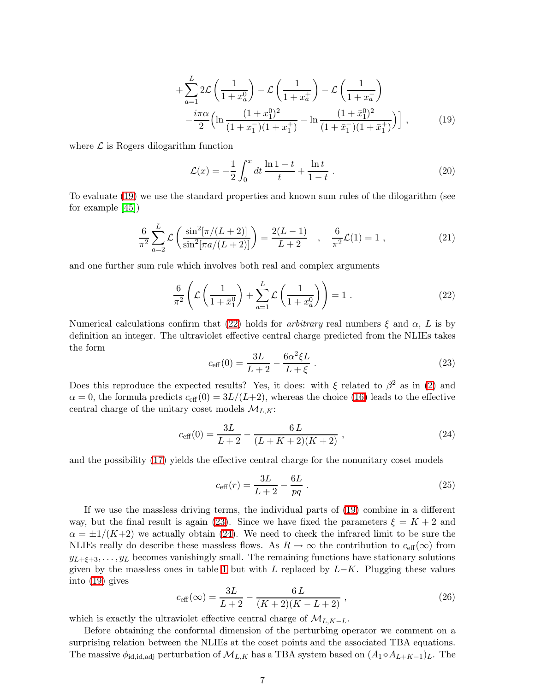$$
+\sum_{a=1}^{L} 2\mathcal{L}\left(\frac{1}{1+x_a^0}\right) - \mathcal{L}\left(\frac{1}{1+x_a^+}\right) - \mathcal{L}\left(\frac{1}{1+x_a^-}\right) -\frac{i\pi\alpha}{2}\left(\ln\frac{(1+x_1^0)^2}{(1+x_1^-)(1+x_1^+)} - \ln\frac{(1+\bar{x}_1^0)^2}{(1+\bar{x}_1^-)(1+\bar{x}_1^+)}\right)\right],
$$
(19)

where  $\mathcal L$  is Rogers dilogarithm function

$$
\mathcal{L}(x) = -\frac{1}{2} \int_0^x dt \, \frac{\ln 1 - t}{t} + \frac{\ln t}{1 - t} \,. \tag{20}
$$

To evaluate [\(19\)](#page-5-1) we use the standard properties and known sum rules of the dilogarithm (see for example [\[45\]](#page-12-13))

$$
\frac{6}{\pi^2} \sum_{a=2}^{L} \mathcal{L}\left(\frac{\sin^2[\pi/(L+2)]}{\sin^2[\pi a/(L+2)]}\right) = \frac{2(L-1)}{L+2} , \frac{6}{\pi^2} \mathcal{L}(1) = 1 ,
$$
\n(21)

and one further sum rule which involves both real and complex arguments

$$
\frac{6}{\pi^2} \left( \mathcal{L} \left( \frac{1}{1 + \bar{x}_1^0} \right) + \sum_{a=1}^L \mathcal{L} \left( \frac{1}{1 + x_a^0} \right) \right) = 1 \tag{22}
$$

Numerical calculations confirm that [\(22\)](#page-6-0) holds for *arbitrary* real numbers  $\xi$  and  $\alpha$ , L is by definition an integer. The ultraviolet effective central charge predicted from the NLIEs takes the form

$$
c_{\text{eff}}(0) = \frac{3L}{L+2} - \frac{6\alpha^2 \xi L}{L+\xi} \,. \tag{23}
$$

Does this reproduce the expected results? Yes, it does: with  $\xi$  related to  $\beta^2$  as in [\(2\)](#page-0-0) and  $\alpha = 0$ , the formula predicts  $c_{\text{eff}}(0) = 3L/(L+2)$ , whereas the choice [\(16\)](#page-4-2) leads to the effective central charge of the unitary coset models  $\mathcal{M}_{L,K}$ :

$$
c_{\text{eff}}(0) = \frac{3L}{L+2} - \frac{6L}{(L+K+2)(K+2)},
$$
\n(24)

and the possibility [\(17\)](#page-4-3) yields the effective central charge for the nonunitary coset models

$$
c_{\text{eff}}(r) = \frac{3L}{L+2} - \frac{6L}{pq} \tag{25}
$$

If we use the massless driving terms, the individual parts of [\(19\)](#page-5-1) combine in a different way, but the final result is again [\(23\)](#page-6-1). Since we have fixed the parameters  $\xi = K + 2$  and  $\alpha = \pm 1/(K+2)$  we actually obtain [\(24\)](#page-6-2). We need to check the infrared limit to be sure the NLIEs really do describe these massless flows. As  $R \to \infty$  the contribution to  $c_{\text{eff}}(\infty)$  from  $y_{L+\xi+3},..., y_L$  becomes vanishingly small. The remaining functions have stationary solutions given by the massless ones in table [1](#page-5-0) but with L replaced by  $L-K$ . Plugging these values into [\(19\)](#page-5-1) gives

$$
c_{\text{eff}}(\infty) = \frac{3L}{L+2} - \frac{6L}{(K+2)(K-L+2)},
$$
\n(26)

which is exactly the ultraviolet effective central charge of  $\mathcal{M}_{L,K-L}$ .

Before obtaining the conformal dimension of the perturbing operator we comment on a surprising relation between the NLIEs at the coset points and the associated TBA equations. The massive  $\phi_{\text{id},\text{id},\text{adj}}$  perturbation of  $\mathcal{M}_{L,K}$  has a TBA system based on  $(A_1 \diamond A_{L+K-1})_L$ . The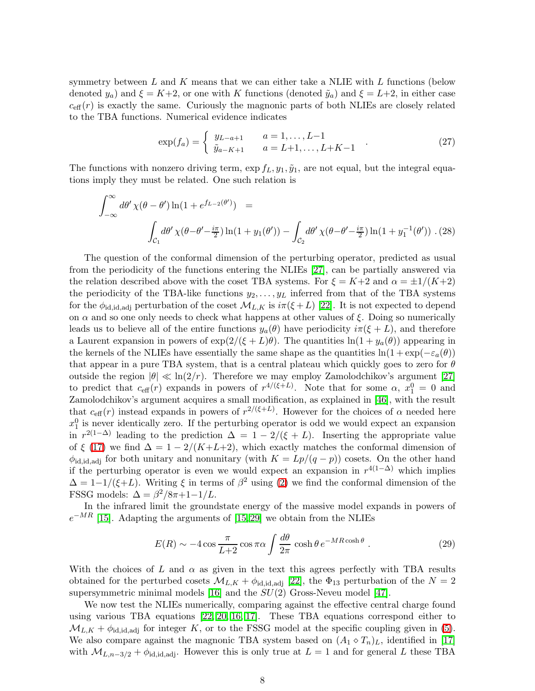symmetry between  $L$  and  $K$  means that we can either take a NLIE with  $L$  functions (below denoted  $y_a$ ) and  $\xi = K+2$ , or one with K functions (denoted  $\tilde{y}_a$ ) and  $\xi = L+2$ , in either case  $c_{\text{eff}}(r)$  is exactly the same. Curiously the magnonic parts of both NLIEs are closely related to the TBA functions. Numerical evidence indicates

$$
\exp(f_a) = \begin{cases} y_{L-a+1} & a = 1, \dots, L-1 \\ \tilde{y}_{a-K+1} & a = L+1, \dots, L+K-1 \end{cases} \tag{27}
$$

The functions with nonzero driving term,  $\exp f_L, y_1, \tilde{y}_1$ , are not equal, but the integral equations imply they must be related. One such relation is

$$
\int_{-\infty}^{\infty} d\theta' \chi(\theta - \theta') \ln(1 + e^{f_{L-2}(\theta')}) =
$$
\n
$$
\int_{C_1} d\theta' \chi(\theta - \theta' - \frac{i\pi}{2}) \ln(1 + y_1(\theta')) - \int_{C_2} d\theta' \chi(\theta - \theta' - \frac{i\pi}{2}) \ln(1 + y_1^{-1}(\theta')) . (28)
$$

<span id="page-8-0"></span>The question of the conformal dimension of the perturbing operator, predicted as usual from the periodicity of the functions entering the NLIEs [\[27\]](#page-11-15), can be partially answered via the relation described above with the coset TBA systems. For  $\xi = K+2$  and  $\alpha = \pm 1/(K+2)$ the periodicity of the TBA-like functions  $y_2, \ldots, y_L$  inferred from that of the TBA systems for the  $\phi_{\text{id},\text{id},\text{adj}}$  perturbation of the coset  $\mathcal{M}_{L,K}$  is  $i\pi(\xi+L)$  [\[22\]](#page-11-10). It is not expected to depend on  $\alpha$  and so one only needs to check what happens at other values of  $\xi$ . Doing so numerically leads us to believe all of the entire functions  $y_a(\theta)$  have periodicity  $i\pi(\xi+L)$ , and therefore a Laurent expansion in powers of  $\exp(2/(\xi + L)\theta)$ . The quantities  $\ln(1 + y_a(\theta))$  appearing in the kernels of the NLIEs have essentially the same shape as the quantities  $\ln(1 + \exp(-\varepsilon_a(\theta)))$ that appear in a pure TBA system, that is a central plateau which quickly goes to zero for  $\theta$ outside the region  $|\theta| \ll \ln(2/r)$ . Therefore we may employ Zamolodchikov's argument [\[27\]](#page-11-15) to predict that  $c_{\text{eff}}(r)$  expands in powers of  $r^{4/(\xi+L)}$ . Note that for some  $\alpha$ ,  $x_1^0 = 0$  and Zamolodchikov's argument acquires a small modification, as explained in [\[46\]](#page-12-14), with the result that  $c_{\text{eff}}(r)$  instead expands in powers of  $r^{2/(\xi+L)}$ . However for the choices of  $\alpha$  needed here  $x_1^0$  is never identically zero. If the perturbing operator is odd we would expect an expansion in  $r^{2(1-\Delta)}$  leading to the prediction  $\Delta = 1 - 2/(\xi + L)$ . Inserting the appropriate value of  $\xi$  [\(17\)](#page-4-3) we find  $\Delta = 1 - 2/(K+L+2)$ , which exactly matches the conformal dimension of  $\phi_{\text{id},\text{idd},\text{adj}}$  for both unitary and nonunitary (with  $K = Lp/(q-p)$ ) cosets. On the other hand if the perturbing operator is even we would expect an expansion in  $r^{4(1-\Delta)}$  which implies  $\Delta = 1 - 1/(\xi + L)$ . Writing  $\xi$  in terms of  $\beta^2$  using [\(2\)](#page-0-0) we find the conformal dimension of the FSSG models:  $\Delta = \beta^2/8\pi + 1 - 1/L$ .

In the infrared limit the groundstate energy of the massive model expands in powers of  $e^{-MR}$  [\[15\]](#page-11-3). Adapting the arguments of [\[15,](#page-11-3) [29\]](#page-11-17) we obtain from the NLIEs

$$
E(R) \sim -4\cos\frac{\pi}{L+2}\cos\pi\alpha \int \frac{d\theta}{2\pi} \cosh\theta \, e^{-MR\cosh\theta} \,. \tag{29}
$$

With the choices of L and  $\alpha$  as given in the text this agrees perfectly with TBA results obtained for the perturbed cosets  $\mathcal{M}_{L,K} + \phi_{\text{id},\text{id},\text{adj}}$  [\[22\]](#page-11-10), the  $\Phi_{13}$  perturbation of the  $N = 2$ supersymmetric minimal models [\[16\]](#page-11-4) and the  $SU(2)$  Gross-Neveu model [\[47\]](#page-12-15).

We now test the NLIEs numerically, comparing against the effective central charge found using various TBA equations [\[22,](#page-11-10) [20,](#page-11-8) [16,](#page-11-4) [17\]](#page-11-5). These TBA equations correspond either to  $\mathcal{M}_{L,K} + \phi_{\text{id},\text{id},\text{adj}}$  for integer K, or to the FSSG model at the specific coupling given in [\(5\)](#page-1-1). We also compare against the magnonic TBA system based on  $(A_1 \circ T_n)_L$ , identified in [\[17\]](#page-11-5) with  $\mathcal{M}_{L,n-3/2} + \phi_{\text{id},\text{id},\text{adj}}$ . However this is only true at  $L = 1$  and for general L these TBA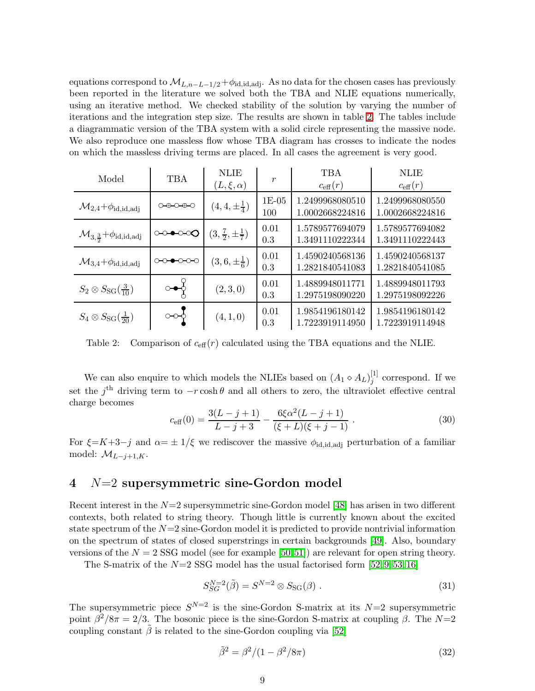equations correspond to  $\mathcal{M}_{L,n-L-1/2}+\phi_{\text{id},\text{id},\text{adj}}$ . As no data for the chosen cases has previously been reported in the literature we solved both the TBA and NLIE equations numerically, using an iterative method. We checked stability of the solution by varying the number of iterations and the integration step size. The results are shown in table [2.](#page-8-0) The tables include a diagrammatic version of the TBA system with a solid circle representing the massive node. We also reproduce one massless flow whose TBA diagram has crosses to indicate the nodes on which the massless driving terms are placed. In all cases the agreement is very good.

| Model                                                               | <b>TBA</b>             | <b>NLIE</b>                      | $\boldsymbol{r}$ | <b>TBA</b>                         | <b>NLIE</b>                        |  |
|---------------------------------------------------------------------|------------------------|----------------------------------|------------------|------------------------------------|------------------------------------|--|
|                                                                     |                        | $(L,\xi,\alpha)$                 |                  | $c_{\text{eff}}(r)$                | $c_{\text{eff}}(r)$                |  |
| $\mathcal{M}_{2,4}+\phi_{\text{id},\text{id},\text{adj}}$           | 0 <del>-0-0-0-</del> 0 | $(4, 4, \pm \frac{1}{4})$        | $1E-05$<br>100   | 1.2499968080510<br>1.0002668224816 | 1.2499968080550<br>1.0002668224816 |  |
| $\mathcal{M}_{3,\frac{3}{2}}+\phi_{\text{id},\text{id},\text{adj}}$ | $0 - 0 - 0 - 0$        | $(3,\frac{7}{2},\pm\frac{1}{7})$ | 0.01<br>0.3      | 1.5789577694079<br>1.3491110222344 | 1.5789577694082<br>1.3491110222443 |  |
| $\mathcal{M}_{3,4}+\phi_{\text{id},\text{id},\text{adj}}$           | $0 - 0 - 0 - 0 - 0$    | $(3, 6, \pm \frac{1}{6})$        | 0.01<br>0.3      | 1.4590240568136<br>1.2821840541083 | 1.4590240568137<br>1.2821840541085 |  |
| $S_2 \otimes S_{\rm SG}(\frac{3}{10})$                              |                        | (2,3,0)                          | 0.01<br>0.3      | 1.4889948011771<br>1.2975198090220 | 1.4889948011793<br>1.2975198092226 |  |
| $S_4 \otimes S_{\rm SG}(\frac{1}{20})$                              | $\searrow$ or $\sim$   | (4, 1, 0)                        | 0.01<br>0.3      | 1.9854196180142<br>1.7223919114950 | 1.9854196180142<br>1.7223919114948 |  |

Table 2: Comparison of  $c_{\text{eff}}(r)$  calculated using the TBA equations and the NLIE.

We can also enquire to which models the NLIEs based on  $(A_1 \diamond A_L)^{[1]}_j$  $j^{\text{H}}$  correspond. If we set the j<sup>th</sup> driving term to  $-r \cosh \theta$  and all others to zero, the ultraviolet effective central charge becomes

$$
c_{\text{eff}}(0) = \frac{3(L-j+1)}{L-j+3} - \frac{6\xi\alpha^2(L-j+1)}{(\xi+L)(\xi+j-1)}.
$$
\n(30)

For  $\xi = K+3-j$  and  $\alpha = \pm 1/\xi$  we rediscover the massive  $\phi_{\text{id,}i}$  perturbation of a familiar model:  $\mathcal{M}_{L-j+1,K}$ .

# 4 N=2 supersymmetric sine-Gordon model

Recent interest in the  $N=2$  supersymmetric sine-Gordon model [\[48\]](#page-12-16) has arisen in two different contexts, both related to string theory. Though little is currently known about the excited state spectrum of the  $N=2$  sine-Gordon model it is predicted to provide nontrivial information on the spectrum of states of closed superstrings in certain backgrounds [\[49\]](#page-12-17). Also, boundary versions of the  $N = 2$  SSG model (see for example [\[50,](#page-12-18)[51\]](#page-12-19)) are relevant for open string theory.

The S-matrix of the  $N=2$  SSG model has the usual factorised form [\[52,](#page-13-0) [9,](#page-10-8) [53,](#page-13-1) [16\]](#page-11-4)

$$
S_{SG}^{N=2}(\tilde{\beta}) = S^{N=2} \otimes S_{SG}(\beta) . \tag{31}
$$

<span id="page-9-0"></span>The supersymmetric piece  $S^{N=2}$  is the sine-Gordon S-matrix at its  $N=2$  supersymmetric point  $\beta^2/8\pi = 2/3$ . The bosonic piece is the sine-Gordon S-matrix at coupling  $\beta$ . The  $N=2$ coupling constant  $\tilde{\beta}$  is related to the sine-Gordon coupling via [\[52\]](#page-13-0)

$$
\tilde{\beta}^2 = \beta^2 / (1 - \beta^2 / 8\pi)
$$
\n(32)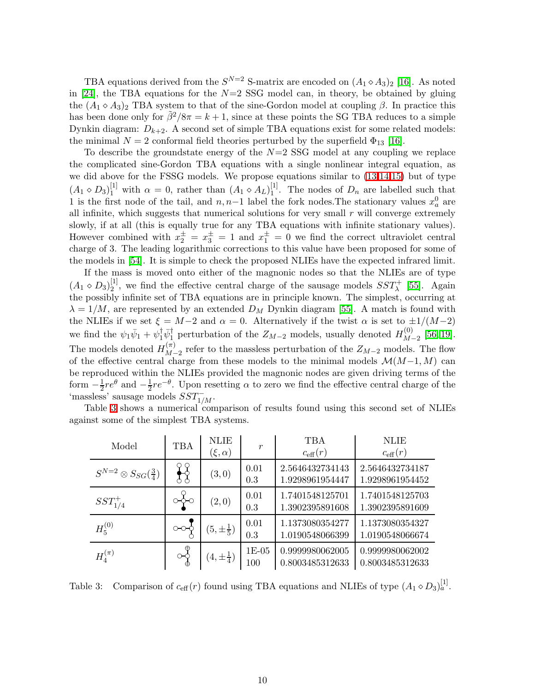TBA equations derived from the  $S^{N=2}$  S-matrix are encoded on  $(A_1 \diamond A_3)_2$  [\[16\]](#page-11-4). As noted in [\[24\]](#page-11-12), the TBA equations for the  $N=2$  SSG model can, in theory, be obtained by gluing the  $(A_1 \circ A_3)_2$  TBA system to that of the sine-Gordon model at coupling  $\beta$ . In practice this has been done only for  $\tilde{\beta}^2/8\pi = k+1$ , since at these points the SG TBA reduces to a simple Dynkin diagram:  $D_{k+2}$ . A second set of simple TBA equations exist for some related models: the minimal  $N = 2$  conformal field theories perturbed by the superfield  $\Phi_{13}$  [\[16\]](#page-11-4).

To describe the groundstate energy of the  $N=2$  SSG model at any coupling we replace the complicated sine-Gordon TBA equations with a single nonlinear integral equation, as we did above for the FSSG models. We propose equations similar to [\(13](#page-3-1)[,14](#page-4-0)[,15\)](#page-4-1) but of type  $(A_1 \diamond D_3)^{[1]}_1$  with  $\alpha = 0$ , rather than  $(A_1 \diamond A_L)^{[1]}_1$  $1<sup>[1]</sup>$ . The nodes of  $D_n$  are labelled such that 1 is the first node of the tail, and  $n, n-1$  label the fork nodes. The stationary values  $x_a^0$  are all infinite, which suggests that numerical solutions for very small  $r$  will converge extremely slowly, if at all (this is equally true for any TBA equations with infinite stationary values). However combined with  $x_2^{\pm} = x_3^{\pm} = 1$  and  $x_1^{\pm} = 0$  we find the correct ultraviolet central charge of 3. The leading logarithmic corrections to this value have been proposed for some of the models in [\[54\]](#page-13-2). It is simple to check the proposed NLIEs have the expected infrared limit.

<span id="page-10-0"></span>If the mass is moved onto either of the magnonic nodes so that the NLIEs are of type  $(A_1 \diamond D_3)_2^{[1]}$  $2^{[1]}$ , we find the effective central charge of the sausage models  $SST_{\lambda}^{+}$  [\[55\]](#page-13-3). Again the possibly infinite set of TBA equations are in principle known. The simplest, occurring at  $\lambda = 1/M$ , are represented by an extended  $D_M$  Dynkin diagram [\[55\]](#page-13-3). A match is found with the NLIEs if we set  $\xi = M-2$  and  $\alpha = 0$ . Alternatively if the twist  $\alpha$  is set to  $\pm 1/(M-2)$ we find the  $\psi_1\bar{\psi}_1 + \psi_1^{\dagger}\bar{\psi}_1^{\dagger}$  perturbation of the  $Z_{M-2}$  models, usually denoted  $H_{M-2}^{(0)}$  $\binom{00}{M-2}$  [\[56,](#page-13-4) [19\]](#page-11-7). The models denoted  $H_{M}^{(\pi)}$  $\binom{n}{M-2}$  refer to the massless perturbation of the  $Z_{M-2}$  models. The flow of the effective central charge from these models to the minimal models  $\mathcal{M}(M-1,M)$  can be reproduced within the NLIEs provided the magnonic nodes are given driving terms of the form  $-\frac{1}{2}re^{\theta}$  and  $-\frac{1}{2}re^{-\theta}$ . Upon resetting  $\alpha$  to zero we find the effective central charge of the 'massless' sausage models  $SST_{1/M}^-$ .

<span id="page-10-4"></span><span id="page-10-3"></span><span id="page-10-2"></span><span id="page-10-1"></span>

|  |  |  | Table 3 shows a numerical comparison of results found using this second set of NLIEs |  |  |  |  |  |
|--|--|--|--------------------------------------------------------------------------------------|--|--|--|--|--|
|  |  |  | against some of the simplest TBA systems.                                            |  |  |  |  |  |

<span id="page-10-5"></span>

| Model                                | TBA                 | <b>NLIE</b><br>$(\xi,\alpha)$ | r              | TBA<br>$c_{\text{eff}}(r)$         | <b>NLIE</b><br>$c_{\text{eff}}(r)$ |
|--------------------------------------|---------------------|-------------------------------|----------------|------------------------------------|------------------------------------|
| $S^{N=2}\otimes S_{SG}(\frac{3}{4})$ | ၁ ၃<br>- ၁ ၃<br>ဂ ဂ | (3,0)                         | 0.01<br>0.3    | 2.5646432734143<br>1.9298961954447 | 2.5646432734187<br>1.9298961954452 |
| $SST^+_{1/4}$                        |                     | (2,0)                         | 0.01<br>0.3    | 1.7401548125701<br>1.3902395891608 | 1.7401548125703<br>1.3902395891609 |
| $H_5^{(0)}$                          |                     | $(5, \pm \frac{1}{5})$        | 0.01<br>0.3    | 1.1373080354277<br>1.0190548066399 | 1.1373080354327<br>1.0190548066674 |
| $H_4^{(\pi)}$                        | Ф<br>$\circ$ -c     | $(4,\pm \frac{1}{4})$         | $1E-05$<br>100 | 0.9999980062005<br>0.8003485312633 | 0.9999980062002<br>0.8003485312633 |

<span id="page-10-10"></span><span id="page-10-9"></span><span id="page-10-8"></span><span id="page-10-7"></span><span id="page-10-6"></span>Table 3: Comparison of  $c_{\text{eff}}(r)$  found using TBA equations and NLIEs of type  $(A_1 \diamond D_3)^{[1]}_a$ .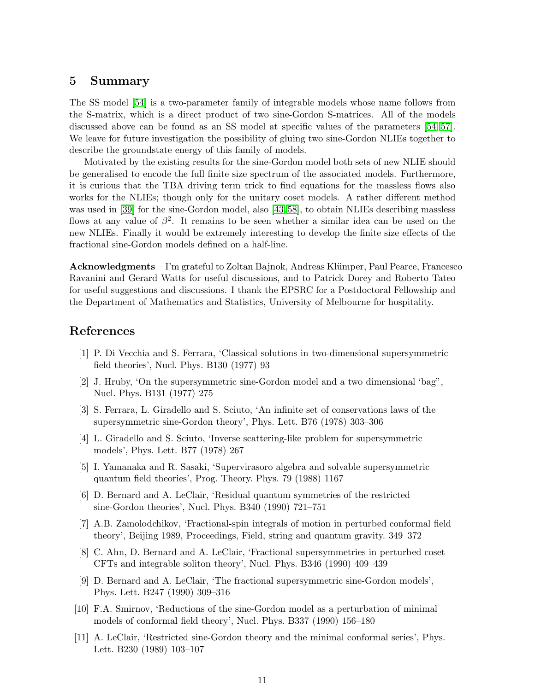# <span id="page-11-0"></span>5 Summary

<span id="page-11-1"></span>The SS model [\[54\]](#page-13-2) is a two-parameter family of integrable models whose name follows from the S-matrix, which is a direct product of two sine-Gordon S-matrices. All of the models discussed above can be found as an SS model at specific values of the parameters [\[54,](#page-13-2) [57\]](#page-13-5). We leave for future investigation the possibility of gluing two sine-Gordon NLIEs together to describe the groundstate energy of this family of models.

<span id="page-11-4"></span><span id="page-11-3"></span><span id="page-11-2"></span>Motivated by the existing results for the sine-Gordon model both sets of new NLIE should be generalised to encode the full finite size spectrum of the associated models. Furthermore, it is curious that the TBA driving term trick to find equations for the massless flows also works for the NLIEs; though only for the unitary coset models. A rather different method was used in [\[39\]](#page-12-7) for the sine-Gordon model, also [\[43,](#page-12-11) [58\]](#page-13-6), to obtain NLIEs describing massless flows at any value of  $\beta^2$ . It remains to be seen whether a similar idea can be used on the new NLIEs. Finally it would be extremely interesting to develop the finite size effects of the fractional sine-Gordon models defined on a half-line.

<span id="page-11-7"></span><span id="page-11-6"></span><span id="page-11-5"></span> $Acknowledgments - I'm grateful to Zoltan Bajnok, Andreas Klümper, Paul Pearce, Francesco,$ Ravanini and Gerard Watts for useful discussions, and to Patrick Dorey and Roberto Tateo for useful suggestions and discussions. I thank the EPSRC for a Postdoctoral Fellowship and the Department of Mathematics and Statistics, University of Melbourne for hospitality.

# <span id="page-11-10"></span><span id="page-11-9"></span><span id="page-11-8"></span>References

- [1] P. Di Vecchia and S. Ferrara, 'Classical solutions in two-dimensional supersymmetric field theories', Nucl. Phys. B130 (1977) 93
- [2] J. Hruby, 'On the supersymmetric sine-Gordon model and a two dimensional 'bag", Nucl. Phys. B131 (1977) 275
- <span id="page-11-11"></span>[3] S. Ferrara, L. Giradello and S. Sciuto, 'An infinite set of conservations laws of the supersymmetric sine-Gordon theory', Phys. Lett. B76 (1978) 303–306
- <span id="page-11-12"></span>[4] L. Giradello and S. Sciuto, 'Inverse scattering-like problem for supersymmetric models', Phys. Lett. B77 (1978) 267
- <span id="page-11-13"></span>[5] I. Yamanaka and R. Sasaki, 'Supervirasoro algebra and solvable supersymmetric quantum field theories', Prog. Theory. Phys. 79 (1988) 1167
- <span id="page-11-14"></span>[6] D. Bernard and A. LeClair, 'Residual quantum symmetries of the restricted sine-Gordon theories', Nucl. Phys. B340 (1990) 721–751
- <span id="page-11-15"></span>[7] A.B. Zamolodchikov, 'Fractional-spin integrals of motion in perturbed conformal field theory', Beijing 1989, Proceedings, Field, string and quantum gravity. 349–372
- <span id="page-11-16"></span>[8] C. Ahn, D. Bernard and A. LeClair, 'Fractional supersymmetries in perturbed coset CFTs and integrable soliton theory', Nucl. Phys. B346 (1990) 409–439
- <span id="page-11-17"></span>[9] D. Bernard and A. LeClair, 'The fractional supersymmetric sine-Gordon models', Phys. Lett. B247 (1990) 309–316
- <span id="page-11-18"></span>[10] F.A. Smirnov, 'Reductions of the sine-Gordon model as a perturbation of minimal models of conformal field theory', Nucl. Phys. B337 (1990) 156–180
- <span id="page-11-19"></span>[11] A. LeClair, 'Restricted sine-Gordon theory and the minimal conformal series', Phys. Lett. B230 (1989) 103–107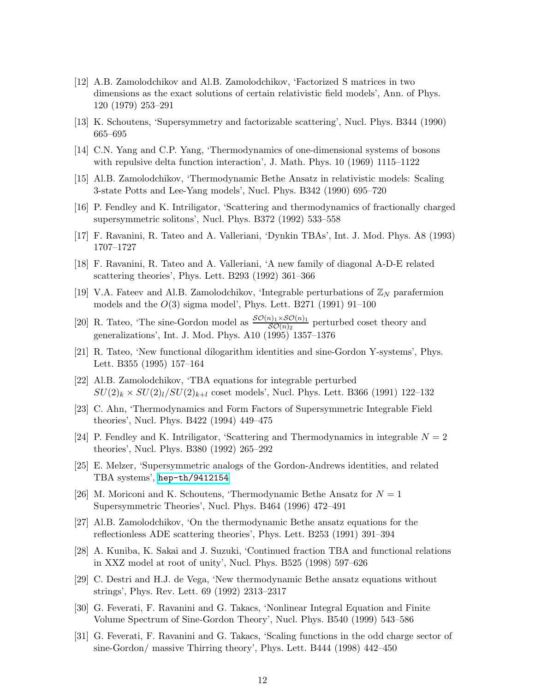- <span id="page-12-1"></span><span id="page-12-0"></span>[12] A.B. Zamolodchikov and Al.B. Zamolodchikov, 'Factorized S matrices in two dimensions as the exact solutions of certain relativistic field models', Ann. of Phys. 120 (1979) 253–291
- <span id="page-12-2"></span>[13] K. Schoutens, 'Supersymmetry and factorizable scattering', Nucl. Phys. B344 (1990) 665–695
- <span id="page-12-3"></span>[14] C.N. Yang and C.P. Yang, 'Thermodynamics of one-dimensional systems of bosons with repulsive delta function interaction', J. Math. Phys. 10 (1969) 1115–1122
- <span id="page-12-4"></span>[15] Al.B. Zamolodchikov, 'Thermodynamic Bethe Ansatz in relativistic models: Scaling 3-state Potts and Lee-Yang models', Nucl. Phys. B342 (1990) 695–720
- <span id="page-12-5"></span>[16] P. Fendley and K. Intriligator, 'Scattering and thermodynamics of fractionally charged supersymmetric solitons', Nucl. Phys. B372 (1992) 533–558
- <span id="page-12-6"></span>[17] F. Ravanini, R. Tateo and A. Valleriani, 'Dynkin TBAs', Int. J. Mod. Phys. A8 (1993) 1707–1727
- <span id="page-12-7"></span>[18] F. Ravanini, R. Tateo and A. Valleriani, 'A new family of diagonal A-D-E related scattering theories', Phys. Lett. B293 (1992) 361–366
- <span id="page-12-8"></span>[19] V.A. Fateev and Al.B. Zamolodchikov, 'Integrable perturbations of  $\mathbb{Z}_N$  parafermion models and the  $O(3)$  sigma model', Phys. Lett. B271 (1991) 91–100
- <span id="page-12-9"></span>[20] R. Tateo, 'The sine-Gordon model as  $\frac{\mathcal{SO}(n)_1 \times \mathcal{SO}(n)_1}{\mathcal{SO}(n)_2}$  perturbed coset theory and generalizations', Int. J. Mod. Phys. A10 (1995) 1357–1376
- <span id="page-12-10"></span>[21] R. Tateo, 'New functional dilogarithm identities and sine-Gordon Y-systems', Phys. Lett. B355 (1995) 157–164
- [22] Al.B. Zamolodchikov, 'TBA equations for integrable perturbed  $SU(2)_k \times SU(2)_l/SU(2)_{k+l}$  coset models', Nucl. Phys. Lett. B366 (1991) 122-132
- <span id="page-12-11"></span>[23] C. Ahn, 'Thermodynamics and Form Factors of Supersymmetric Integrable Field theories', Nucl. Phys. B422 (1994) 449–475
- <span id="page-12-13"></span><span id="page-12-12"></span>[24] P. Fendley and K. Intriligator, 'Scattering and Thermodynamics in integrable  $N = 2$ theories', Nucl. Phys. B380 (1992) 265–292
- <span id="page-12-14"></span>[25] E. Melzer, 'Supersymmetric analogs of the Gordon-Andrews identities, and related TBA systems', [hep-th/9412154](http://arXiv.org/abs/hep-th/9412154)
- <span id="page-12-15"></span>[26] M. Moriconi and K. Schoutens, 'Thermodynamic Bethe Ansatz for  $N = 1$ Supersymmetric Theories', Nucl. Phys. B464 (1996) 472–491
- <span id="page-12-16"></span>[27] Al.B. Zamolodchikov, 'On the thermodynamic Bethe ansatz equations for the reflectionless ADE scattering theories', Phys. Lett. B253 (1991) 391–394
- <span id="page-12-17"></span>[28] A. Kuniba, K. Sakai and J. Suzuki, 'Continued fraction TBA and functional relations in XXZ model at root of unity', Nucl. Phys. B525 (1998) 597–626
- <span id="page-12-18"></span>[29] C. Destri and H.J. de Vega, 'New thermodynamic Bethe ansatz equations without strings', Phys. Rev. Lett. 69 (1992) 2313–2317
- <span id="page-12-19"></span>[30] G. Feverati, F. Ravanini and G. Takacs, 'Nonlinear Integral Equation and Finite Volume Spectrum of Sine-Gordon Theory', Nucl. Phys. B540 (1999) 543–586
- [31] G. Feverati, F. Ravanini and G. Takacs, 'Scaling functions in the odd charge sector of sine-Gordon/ massive Thirring theory', Phys. Lett. B444 (1998) 442–450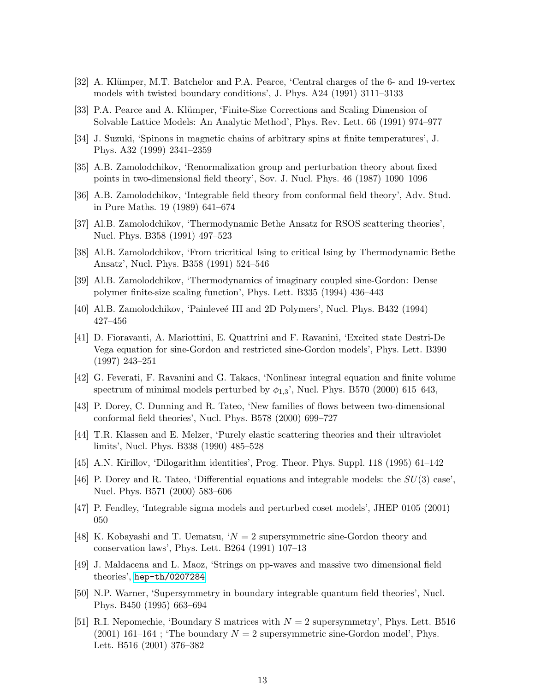- <span id="page-13-0"></span>[32] A. Klümper, M.T. Batchelor and P.A. Pearce, 'Central charges of the 6- and 19-vertex models with twisted boundary conditions', J. Phys. A24 (1991) 3111–3133
- <span id="page-13-1"></span>[33] P.A. Pearce and A. Klümper, 'Finite-Size Corrections and Scaling Dimension of Solvable Lattice Models: An Analytic Method', Phys. Rev. Lett. 66 (1991) 974–977
- [34] J. Suzuki, 'Spinons in magnetic chains of arbitrary spins at finite temperatures', J. Phys. A32 (1999) 2341–2359
- <span id="page-13-2"></span>[35] A.B. Zamolodchikov, 'Renormalization group and perturbation theory about fixed points in two-dimensional field theory', Sov. J. Nucl. Phys. 46 (1987) 1090–1096
- <span id="page-13-3"></span>[36] A.B. Zamolodchikov, 'Integrable field theory from conformal field theory', Adv. Stud. in Pure Maths. 19 (1989) 641–674
- <span id="page-13-4"></span>[37] Al.B. Zamolodchikov, 'Thermodynamic Bethe Ansatz for RSOS scattering theories', Nucl. Phys. B358 (1991) 497–523
- <span id="page-13-5"></span>[38] Al.B. Zamolodchikov, 'From tricritical Ising to critical Ising by Thermodynamic Bethe Ansatz', Nucl. Phys. B358 (1991) 524–546
- <span id="page-13-6"></span>[39] Al.B. Zamolodchikov, 'Thermodynamics of imaginary coupled sine-Gordon: Dense polymer finite-size scaling function', Phys. Lett. B335 (1994) 436–443
- [40] Al.B. Zamolodchikov, 'Painleveé III and 2D Polymers', Nucl. Phys. B432 (1994) 427–456
- [41] D. Fioravanti, A. Mariottini, E. Quattrini and F. Ravanini, 'Excited state Destri-De Vega equation for sine-Gordon and restricted sine-Gordon models', Phys. Lett. B390 (1997) 243–251
- [42] G. Feverati, F. Ravanini and G. Takacs, 'Nonlinear integral equation and finite volume spectrum of minimal models perturbed by  $\phi_{1,3}$ ', Nucl. Phys. B570 (2000) 615–643,
- [43] P. Dorey, C. Dunning and R. Tateo, 'New families of flows between two-dimensional conformal field theories', Nucl. Phys. B578 (2000) 699–727
- [44] T.R. Klassen and E. Melzer, 'Purely elastic scattering theories and their ultraviolet limits', Nucl. Phys. B338 (1990) 485–528
- [45] A.N. Kirillov, 'Dilogarithm identities', Prog. Theor. Phys. Suppl. 118 (1995) 61–142
- [46] P. Dorey and R. Tateo, 'Differential equations and integrable models: the  $SU(3)$  case', Nucl. Phys. B571 (2000) 583–606
- [47] P. Fendley, 'Integrable sigma models and perturbed coset models', JHEP 0105 (2001) 050
- [48] K. Kobayashi and T. Uematsu,  $N = 2$  supersymmetric sine-Gordon theory and conservation laws', Phys. Lett. B264 (1991) 107–13
- [49] J. Maldacena and L. Maoz, 'Strings on pp-waves and massive two dimensional field theories', [hep-th/0207284](http://arXiv.org/abs/hep-th/0207284)
- [50] N.P. Warner, 'Supersymmetry in boundary integrable quantum field theories', Nucl. Phys. B450 (1995) 663–694
- [51] R.I. Nepomechie, 'Boundary S matrices with  $N = 2$  supersymmetry', Phys. Lett. B516  $(2001)$  161–164; The boundary  $N = 2$  supersymmetric sine-Gordon model', Phys. Lett. B516 (2001) 376–382